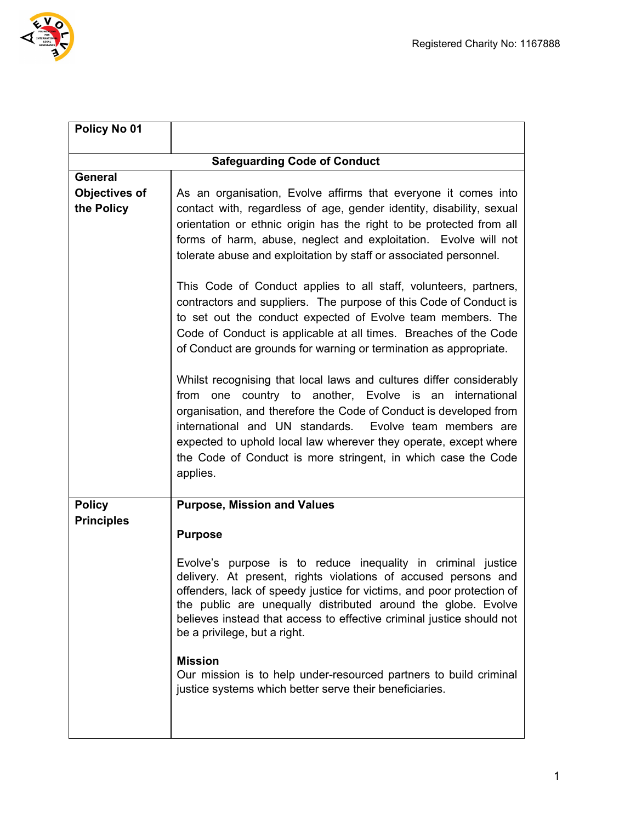



| Policy No 01                       |                                                                                                                                                                                                                                                                                                                                                                                                                                                                                                                                                                                                                                                                                                                                                                  |
|------------------------------------|------------------------------------------------------------------------------------------------------------------------------------------------------------------------------------------------------------------------------------------------------------------------------------------------------------------------------------------------------------------------------------------------------------------------------------------------------------------------------------------------------------------------------------------------------------------------------------------------------------------------------------------------------------------------------------------------------------------------------------------------------------------|
|                                    | <b>Safeguarding Code of Conduct</b>                                                                                                                                                                                                                                                                                                                                                                                                                                                                                                                                                                                                                                                                                                                              |
| <b>General</b>                     |                                                                                                                                                                                                                                                                                                                                                                                                                                                                                                                                                                                                                                                                                                                                                                  |
| <b>Objectives of</b><br>the Policy | As an organisation, Evolve affirms that everyone it comes into<br>contact with, regardless of age, gender identity, disability, sexual<br>orientation or ethnic origin has the right to be protected from all<br>forms of harm, abuse, neglect and exploitation. Evolve will not<br>tolerate abuse and exploitation by staff or associated personnel.                                                                                                                                                                                                                                                                                                                                                                                                            |
|                                    | This Code of Conduct applies to all staff, volunteers, partners,<br>contractors and suppliers. The purpose of this Code of Conduct is<br>to set out the conduct expected of Evolve team members. The<br>Code of Conduct is applicable at all times. Breaches of the Code<br>of Conduct are grounds for warning or termination as appropriate.<br>Whilst recognising that local laws and cultures differ considerably<br>from one country to another, Evolve is an international<br>organisation, and therefore the Code of Conduct is developed from<br>international and UN standards. Evolve team members are<br>expected to uphold local law wherever they operate, except where<br>the Code of Conduct is more stringent, in which case the Code<br>applies. |
| <b>Policy</b>                      | <b>Purpose, Mission and Values</b>                                                                                                                                                                                                                                                                                                                                                                                                                                                                                                                                                                                                                                                                                                                               |
| <b>Principles</b>                  |                                                                                                                                                                                                                                                                                                                                                                                                                                                                                                                                                                                                                                                                                                                                                                  |
|                                    | <b>Purpose</b>                                                                                                                                                                                                                                                                                                                                                                                                                                                                                                                                                                                                                                                                                                                                                   |
|                                    | Evolve's purpose is to reduce inequality in criminal justice<br>delivery. At present, rights violations of accused persons and<br>offenders, lack of speedy justice for victims, and poor protection of<br>the public are unequally distributed around the globe. Evolve<br>believes instead that access to effective criminal justice should not<br>be a privilege, but a right.<br><b>Mission</b><br>Our mission is to help under-resourced partners to build criminal<br>justice systems which better serve their beneficiaries.                                                                                                                                                                                                                              |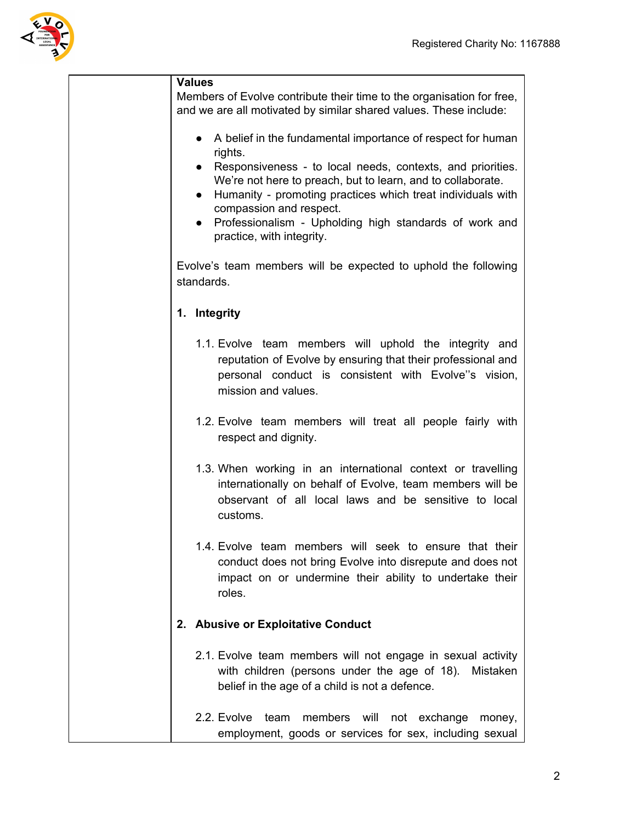

| <b>Values</b> |                                                                                                                                                                                                                                                                                                                                      |  |  |
|---------------|--------------------------------------------------------------------------------------------------------------------------------------------------------------------------------------------------------------------------------------------------------------------------------------------------------------------------------------|--|--|
|               | Members of Evolve contribute their time to the organisation for free,<br>and we are all motivated by similar shared values. These include:                                                                                                                                                                                           |  |  |
|               | A belief in the fundamental importance of respect for human<br>rights.                                                                                                                                                                                                                                                               |  |  |
|               | Responsiveness - to local needs, contexts, and priorities.<br>$\bullet$<br>We're not here to preach, but to learn, and to collaborate.<br>Humanity - promoting practices which treat individuals with<br>$\bullet$<br>compassion and respect.<br>Professionalism - Upholding high standards of work and<br>practice, with integrity. |  |  |
|               | Evolve's team members will be expected to uphold the following<br>standards.                                                                                                                                                                                                                                                         |  |  |
|               | 1. Integrity                                                                                                                                                                                                                                                                                                                         |  |  |
|               | 1.1. Evolve team members will uphold the integrity and<br>reputation of Evolve by ensuring that their professional and<br>personal conduct is consistent with Evolve"s vision,<br>mission and values.                                                                                                                                |  |  |
|               | 1.2. Evolve team members will treat all people fairly with<br>respect and dignity.                                                                                                                                                                                                                                                   |  |  |
|               | 1.3. When working in an international context or travelling<br>internationally on behalf of Evolve, team members will be<br>observant of all local laws and be sensitive to local<br>customs.                                                                                                                                        |  |  |
|               | 1.4. Evolve team members will seek to ensure that their<br>conduct does not bring Evolve into disrepute and does not<br>impact on or undermine their ability to undertake their<br>roles.                                                                                                                                            |  |  |
|               | 2. Abusive or Exploitative Conduct                                                                                                                                                                                                                                                                                                   |  |  |
|               | 2.1. Evolve team members will not engage in sexual activity<br>with children (persons under the age of 18). Mistaken<br>belief in the age of a child is not a defence.                                                                                                                                                               |  |  |
|               | 2.2. Evolve<br>members will<br>team<br>not<br>exchange<br>money,<br>employment, goods or services for sex, including sexual                                                                                                                                                                                                          |  |  |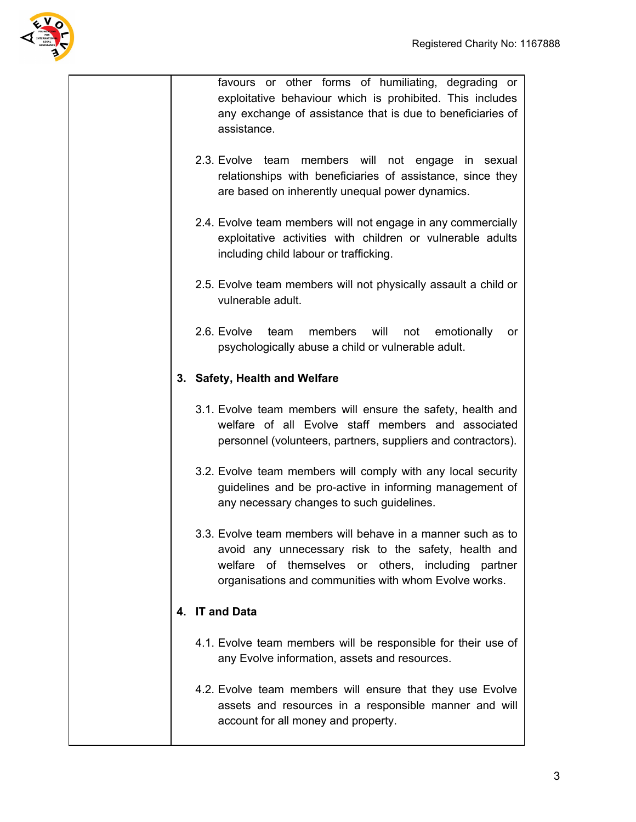

favours or other forms of humiliating, degrading or exploitative behaviour which is prohibited. This includes any exchange of assistance that is due to beneficiaries of assistance.

- 2.3. Evolve team members will not engage in sexual relationships with beneficiaries of assistance, since they are based on inherently unequal power dynamics.
- 2.4. Evolve team members will not engage in any commercially exploitative activities with children or vulnerable adults including child labour or trafficking.
- 2.5. Evolve team members will not physically assault a child or vulnerable adult.
- 2.6. Evolve team members will not emotionally or psychologically abuse a child or vulnerable adult.

## **3. Safety, Health and Welfare**

- 3.1. Evolve team members will ensure the safety, health and welfare of all Evolve staff members and associated personnel (volunteers, partners, suppliers and contractors).
- 3.2. Evolve team members will comply with any local security guidelines and be pro-active in informing management of any necessary changes to such guidelines.
- 3.3. Evolve team members will behave in a manner such as to avoid any unnecessary risk to the safety, health and welfare of themselves or others, including partner organisations and communities with whom Evolve works.

## **4. IT and Data**

- 4.1. Evolve team members will be responsible for their use of any Evolve information, assets and resources.
- 4.2. Evolve team members will ensure that they use Evolve assets and resources in a responsible manner and will account for all money and property.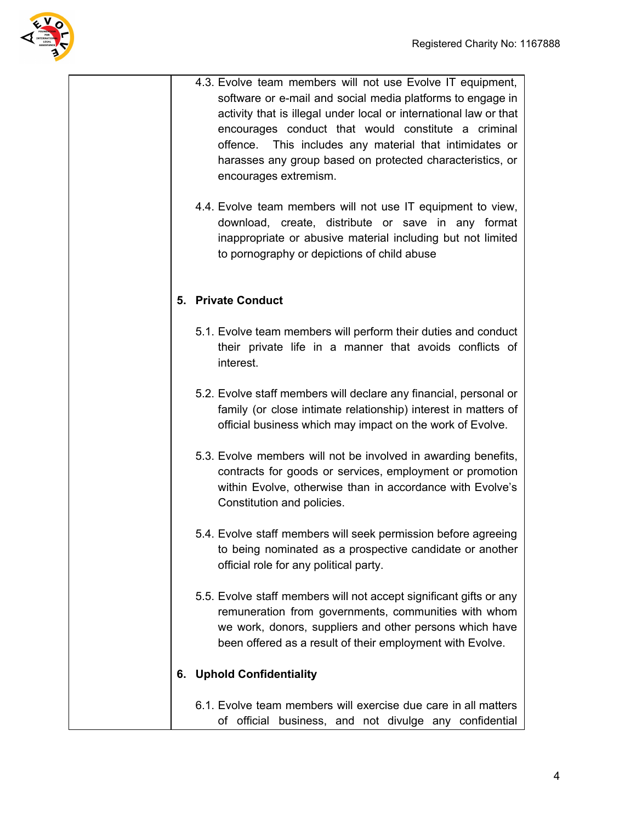

|    | 4.3. Evolve team members will not use Evolve IT equipment,<br>software or e-mail and social media platforms to engage in<br>activity that is illegal under local or international law or that<br>encourages conduct that would constitute a criminal<br>offence. This includes any material that intimidates or<br>harasses any group based on protected characteristics, or<br>encourages extremism.<br>4.4. Evolve team members will not use IT equipment to view, |
|----|----------------------------------------------------------------------------------------------------------------------------------------------------------------------------------------------------------------------------------------------------------------------------------------------------------------------------------------------------------------------------------------------------------------------------------------------------------------------|
|    | download, create, distribute or save in any format<br>inappropriate or abusive material including but not limited<br>to pornography or depictions of child abuse                                                                                                                                                                                                                                                                                                     |
| 5. | <b>Private Conduct</b>                                                                                                                                                                                                                                                                                                                                                                                                                                               |
|    | 5.1. Evolve team members will perform their duties and conduct<br>their private life in a manner that avoids conflicts of<br>interest.                                                                                                                                                                                                                                                                                                                               |
|    | 5.2. Evolve staff members will declare any financial, personal or<br>family (or close intimate relationship) interest in matters of<br>official business which may impact on the work of Evolve.                                                                                                                                                                                                                                                                     |
|    | 5.3. Evolve members will not be involved in awarding benefits,<br>contracts for goods or services, employment or promotion<br>within Evolve, otherwise than in accordance with Evolve's<br>Constitution and policies.                                                                                                                                                                                                                                                |
|    | 5.4. Evolve staff members will seek permission before agreeing<br>to being nominated as a prospective candidate or another<br>official role for any political party.                                                                                                                                                                                                                                                                                                 |
|    | 5.5. Evolve staff members will not accept significant gifts or any<br>remuneration from governments, communities with whom<br>we work, donors, suppliers and other persons which have<br>been offered as a result of their employment with Evolve.                                                                                                                                                                                                                   |
|    | 6. Uphold Confidentiality                                                                                                                                                                                                                                                                                                                                                                                                                                            |
|    | 6.1. Evolve team members will exercise due care in all matters<br>of official business, and not divulge any confidential                                                                                                                                                                                                                                                                                                                                             |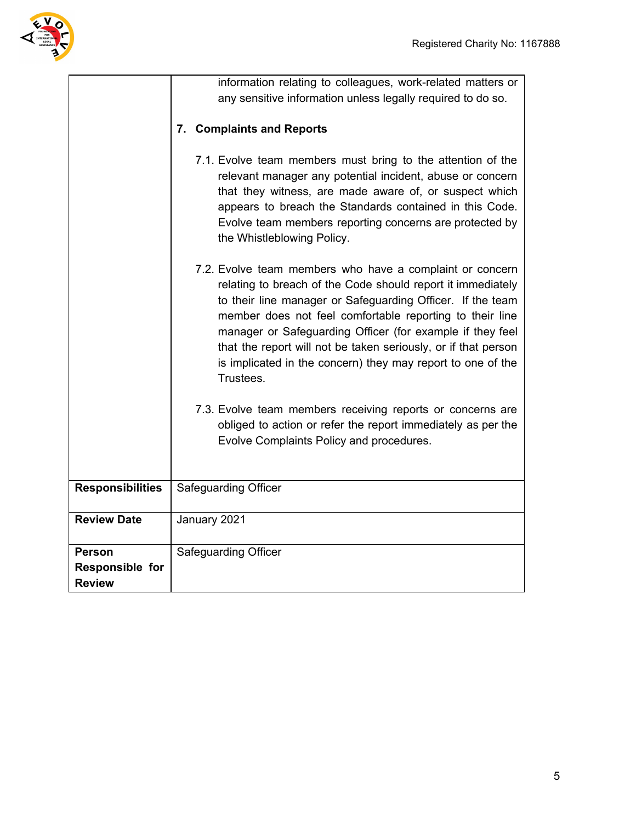

|                         | information relating to colleagues, work-related matters or<br>any sensitive information unless legally required to do so.                                                                                                                                                                                                                                                                                                                                   |
|-------------------------|--------------------------------------------------------------------------------------------------------------------------------------------------------------------------------------------------------------------------------------------------------------------------------------------------------------------------------------------------------------------------------------------------------------------------------------------------------------|
|                         | <b>Complaints and Reports</b><br>7.                                                                                                                                                                                                                                                                                                                                                                                                                          |
|                         | 7.1. Evolve team members must bring to the attention of the<br>relevant manager any potential incident, abuse or concern<br>that they witness, are made aware of, or suspect which<br>appears to breach the Standards contained in this Code.<br>Evolve team members reporting concerns are protected by<br>the Whistleblowing Policy.                                                                                                                       |
|                         | 7.2. Evolve team members who have a complaint or concern<br>relating to breach of the Code should report it immediately<br>to their line manager or Safeguarding Officer. If the team<br>member does not feel comfortable reporting to their line<br>manager or Safeguarding Officer (for example if they feel<br>that the report will not be taken seriously, or if that person<br>is implicated in the concern) they may report to one of the<br>Trustees. |
|                         | 7.3. Evolve team members receiving reports or concerns are<br>obliged to action or refer the report immediately as per the<br>Evolve Complaints Policy and procedures.                                                                                                                                                                                                                                                                                       |
| <b>Responsibilities</b> | <b>Safeguarding Officer</b>                                                                                                                                                                                                                                                                                                                                                                                                                                  |
| <b>Review Date</b>      | January 2021                                                                                                                                                                                                                                                                                                                                                                                                                                                 |
| <b>Person</b>           | Safeguarding Officer                                                                                                                                                                                                                                                                                                                                                                                                                                         |
| <b>Responsible for</b>  |                                                                                                                                                                                                                                                                                                                                                                                                                                                              |
| <b>Review</b>           |                                                                                                                                                                                                                                                                                                                                                                                                                                                              |